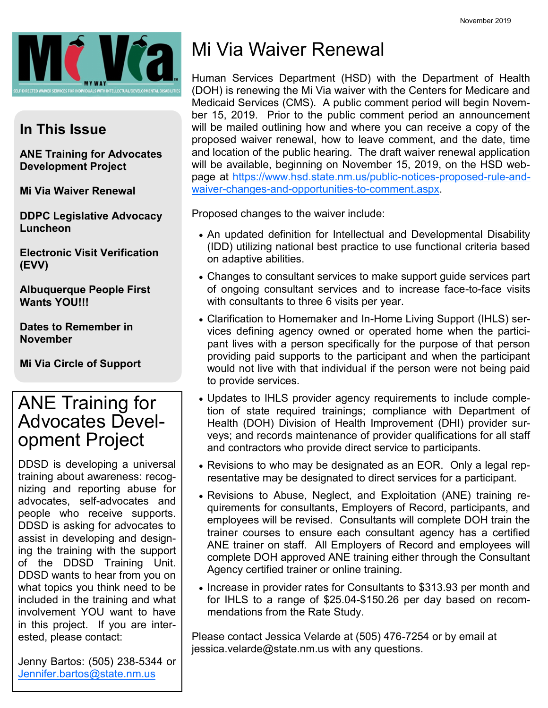

#### **In This Issue**

**ANE Training for Advocates Development Project**

**Mi Via Waiver Renewal**

**DDPC Legislative Advocacy Luncheon**

**Electronic Visit Verification (EVV)**

**Albuquerque People First Wants YOU!!!**

**Dates to Remember in November**

**Mi Via Circle of Support**

## ANE Training for Advocates Development Project

DDSD is developing a universal training about awareness: recognizing and reporting abuse for advocates, self-advocates and people who receive supports. DDSD is asking for advocates to assist in developing and designing the training with the support of the DDSD Training Unit. DDSD wants to hear from you on what topics you think need to be included in the training and what involvement YOU want to have in this project. If you are interested, please contact:

Jenny Bartos: (505) 238-5344 or [Jennifer.bartos@state.nm.us](mailto:Jennifer.bartos@state.nm.us)

# Mi Via Waiver Renewal

Human Services Department (HSD) with the Department of Health (DOH) is renewing the Mi Via waiver with the Centers for Medicare and Medicaid Services (CMS). A public comment period will begin November 15, 2019. Prior to the public comment period an announcement will be mailed outlining how and where you can receive a copy of the proposed waiver renewal, how to leave comment, and the date, time and location of the public hearing. The draft waiver renewal application will be available, beginning on November 15, 2019, on the HSD webpage at [https://www.hsd.state.nm.us/public-notices-proposed-rule-and](https://www.hsd.state.nm.us/public-notices-proposed-rule-and-waiver-changes-and-opportunities-to-comment.aspx)[waiver-changes-and-opportunities-to-comment.aspx.](https://www.hsd.state.nm.us/public-notices-proposed-rule-and-waiver-changes-and-opportunities-to-comment.aspx)

Proposed changes to the waiver include:

- An updated definition for Intellectual and Developmental Disability (IDD) utilizing national best practice to use functional criteria based on adaptive abilities.
- Changes to consultant services to make support guide services part of ongoing consultant services and to increase face-to-face visits with consultants to three 6 visits per year.
- Clarification to Homemaker and In-Home Living Support (IHLS) services defining agency owned or operated home when the participant lives with a person specifically for the purpose of that person providing paid supports to the participant and when the participant would not live with that individual if the person were not being paid to provide services.
- Updates to IHLS provider agency requirements to include completion of state required trainings; compliance with Department of Health (DOH) Division of Health Improvement (DHI) provider surveys; and records maintenance of provider qualifications for all staff and contractors who provide direct service to participants.
- Revisions to who may be designated as an EOR. Only a legal representative may be designated to direct services for a participant.
- Revisions to Abuse, Neglect, and Exploitation (ANE) training requirements for consultants, Employers of Record, participants, and employees will be revised. Consultants will complete DOH train the trainer courses to ensure each consultant agency has a certified ANE trainer on staff. All Employers of Record and employees will complete DOH approved ANE training either through the Consultant Agency certified trainer or online training.
- Increase in provider rates for Consultants to \$313.93 per month and for IHLS to a range of \$25.04-\$150.26 per day based on recommendations from the Rate Study.

Please contact Jessica Velarde at (505) 476-7254 or by email at jessica.velarde@state.nm.us with any questions.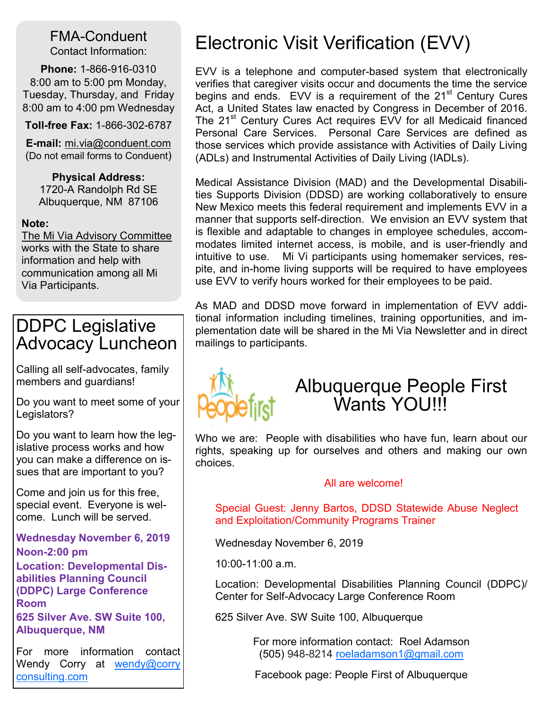#### FMA-Conduent Contact Information:

**Phone:** 1-866-916-0310 8:00 am to 5:00 pm Monday, Tuesday, Thursday, and Friday 8:00 am to 4:00 pm Wednesday

**Toll-free Fax:** 1-866-302-6787

**E-mail:** mi.via@conduent.com (Do not email forms to Conduent)

**Physical Address:**

1720-A Randolph Rd SE Albuquerque, NM 87106

**Note:**

The Mi Via Advisory Committee works with the State to share information and help with communication among all Mi Via Participants.

## DDPC Legislative Advocacy Luncheon

Calling all self-advocates, family members and guardians!

Do you want to meet some of your Legislators?

Do you want to learn how the legislative process works and how you can make a difference on issues that are important to you?

Come and join us for this free, special event. Everyone is welcome. Lunch will be served.

**Wednesday November 6, 2019 Noon-2:00 pm**

**Location: Developmental Disabilities Planning Council (DDPC) Large Conference Room**

**625 Silver Ave. SW Suite 100, Albuquerque, NM** 

For more information contact Wendy Corry at wendy@corry [consulting.com](mailto:wendy@corryconsulting.com)

# Electronic Visit Verification (EVV)

EVV is a telephone and computer-based system that electronically verifies that caregiver visits occur and documents the time the service begins and ends. EVV is a requirement of the 21<sup>st</sup> Century Cures Act, a United States law enacted by Congress in December of 2016. The 21<sup>st</sup> Century Cures Act requires EVV for all Medicaid financed Personal Care Services. Personal Care Services are defined as those services which provide assistance with Activities of Daily Living (ADLs) and Instrumental Activities of Daily Living (IADLs).

Medical Assistance Division (MAD) and the Developmental Disabilities Supports Division (DDSD) are working collaboratively to ensure New Mexico meets this federal requirement and implements EVV in a manner that supports self-direction. We envision an EVV system that is flexible and adaptable to changes in employee schedules, accommodates limited internet access, is mobile, and is user-friendly and intuitive to use. Mi Vi participants using homemaker services, respite, and in-home living supports will be required to have employees use EVV to verify hours worked for their employees to be paid.

As MAD and DDSD move forward in implementation of EVV additional information including timelines, training opportunities, and implementation date will be shared in the Mi Via Newsletter and in direct mailings to participants.



## Albuquerque People First Wants YOU!!!

Who we are: People with disabilities who have fun, learn about our rights, speaking up for ourselves and others and making our own choices.

#### All are welcome!

Special Guest: Jenny Bartos, DDSD Statewide Abuse Neglect and Exploitation/Community Programs Trainer

Wednesday November 6, 2019

10:00-11:00 a.m.

Location: Developmental Disabilities Planning Council (DDPC)/ Center for Self-Advocacy Large Conference Room

625 Silver Ave. SW Suite 100, Albuquerque

For more information contact: Roel Adamson (505) 948-8214 [roeladamson1@gmail.com](mailto:roeladamson1@gmail.com)

Facebook page: People First of Albuquerque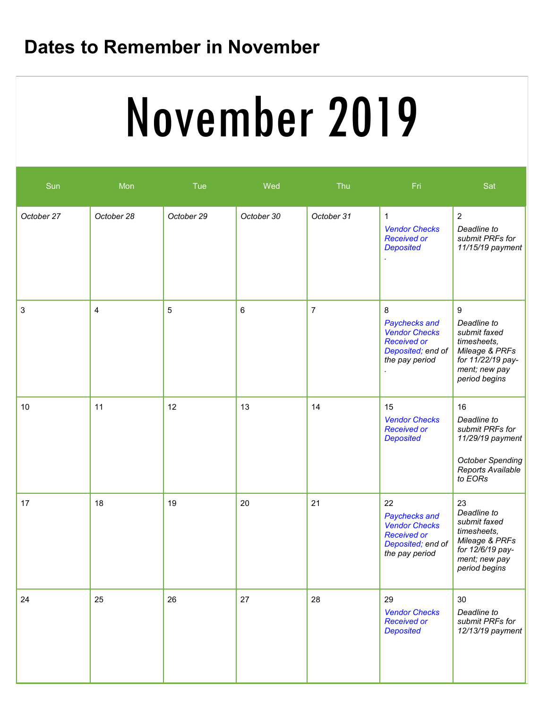## **Dates to Remember in November**

# November 2019

| Sun        | Mon        | <b>Tue</b> | Wed        | Thu            | Fri                                                                                                      | Sat                                                                                                                      |
|------------|------------|------------|------------|----------------|----------------------------------------------------------------------------------------------------------|--------------------------------------------------------------------------------------------------------------------------|
| October 27 | October 28 | October 29 | October 30 | October 31     | $\mathbf{1}$<br><b>Vendor Checks</b><br><b>Received or</b><br><b>Deposited</b>                           | $\overline{2}$<br>Deadline to<br>submit PRFs for<br>11/15/19 payment                                                     |
| 3          | 4          | 5          | 6          | $\overline{7}$ | 8<br>Paychecks and<br><b>Vendor Checks</b><br><b>Received or</b><br>Deposited; end of<br>the pay period  | 9<br>Deadline to<br>submit faxed<br>timesheets,<br>Mileage & PRFs<br>for 11/22/19 pay-<br>ment; new pay<br>period begins |
| 10         | 11         | 12         | 13         | 14             | 15<br><b>Vendor Checks</b><br><b>Received or</b><br><b>Deposited</b>                                     | 16<br>Deadline to<br>submit PRFs for<br>11/29/19 payment<br><b>October Spending</b><br>Reports Available<br>to EORs      |
| 17         | 18         | 19         | 20         | 21             | 22<br>Paychecks and<br><b>Vendor Checks</b><br><b>Received or</b><br>Deposited; end of<br>the pay period | 23<br>Deadline to<br>submit faxed<br>timesheets,<br>Mileage & PRFs<br>for 12/6/19 pay-<br>ment; new pay<br>period begins |
| 24         | 25         | 26         | 27         | 28             | 29<br><b>Vendor Checks</b><br><b>Received or</b><br><b>Deposited</b>                                     | 30<br>Deadline to<br>submit PRFs for<br>12/13/19 payment                                                                 |